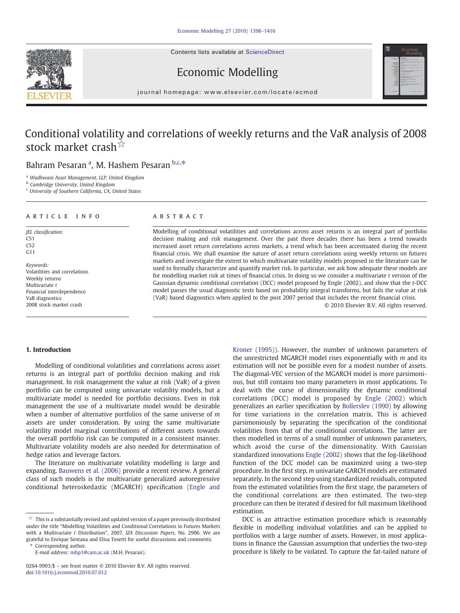Contents lists available at [ScienceDirect](http://www.sciencedirect.com/science/journal/02649993)





## Economic Modelling

journal homepage: www.elsevier.com/locate/ecmod

## Conditional volatility and correlations of weekly returns and the VaR analysis of 2008 stock market crash☆

## Bahram Pesaran<sup>a</sup>, M. Hashem Pesaran b.c.\*

<sup>a</sup> Wadhwani Asset Management, LLP, United Kingdom

<sup>b</sup> Cambridge University, United Kingdom

<sup>c</sup> University of Southern California, CA, United States

### ARTICLE INFO ABSTRACT

JEL classification: C51 C52 G11

Keywords: Volatilities and correlations Weekly returns Multivariate t Financial interdependence VaR diagnostics 2008 stock market crash

Modelling of conditional volatilities and correlations across asset returns is an integral part of portfolio decision making and risk management. Over the past three decades there has been a trend towards increased asset return correlations across markets, a trend which has been accentuated during the recent financial crisis. We shall examine the nature of asset return correlations using weekly returns on futures markets and investigate the extent to which multivariate volatility models proposed in the literature can be used to formally characterize and quantify market risk. In particular, we ask how adequate these models are for modelling market risk at times of financial crisis. In doing so we consider a multivariate t version of the Gaussian dynamic conditional correlation (DCC) model proposed by Engle (2002), and show that the t-DCC model passes the usual diagnostic tests based on probability integral transforms, but fails the value at risk (VaR) based diagnostics when applied to the post 2007 period that includes the recent financial crisis.

© 2010 Elsevier B.V. All rights reserved.

### 1. Introduction

Modelling of conditional volatilities and correlations across asset returns is an integral part of portfolio decision making and risk management. In risk management the value at risk (VaR) of a given portfolio can be computed using univariate volatility models, but a multivariate model is needed for portfolio decisions. Even in risk management the use of a multivariate model would be desirable when a number of alternative portfolios of the same universe of m assets are under consideration. By using the same multivariate volatility model marginal contributions of different assets towards the overall portfolio risk can be computed in a consistent manner. Multivariate volatility models are also needed for determination of hedge ratios and leverage factors.

The literature on multivariate volatility modelling is large and expanding. [Bauwens et al. \(2006\)](#page--1-0) provide a recent review. A general class of such models is the multivariate generalized autoregressive conditional heteroskedastic (MGARCH) specification [\(Engle and](#page--1-0) [Kroner \(1995\)\)](#page--1-0). However, the number of unknown parameters of the unrestricted MGARCH model rises exponentially with  $m$  and its estimation will not be possible even for a modest number of assets. The diagonal-VEC version of the MGARCH model is more parsimonious, but still contains too many parameters in most applications. To deal with the curse of dimensionality the dynamic conditional correlations (DCC) model is proposed by [Engle \(2002\)](#page--1-0) which generalizes an earlier specification by [Bollerslev \(1990\)](#page--1-0) by allowing for time variations in the correlation matrix. This is achieved parsimoniously by separating the specification of the conditional volatilities from that of the conditional correlations. The latter are then modelled in terms of a small number of unknown parameters, which avoid the curse of the dimensionality. With Gaussian standardized innovations [Engle \(2002\)](#page--1-0) shows that the log-likelihood function of the DCC model can be maximized using a two-step procedure. In the first step, m univariate GARCH models are estimated separately. In the second step using standardized residuals, computed from the estimated volatilities from the first stage, the parameters of the conditional correlations are then estimated. The two-step procedure can then be iterated if desired for full maximum likelihood estimation.

DCC is an attractive estimation procedure which is reasonably flexible in modelling individual volatilities and can be applied to portfolios with a large number of assets. However, in most applications in finance the Gaussian assumption that underlies the two-step procedure is likely to be violated. To capture the fat-tailed nature of

 $\mathring{\mathbb{X}}$  This is a substantially revised and updated version of a paper previously distributed under the title "Modelling Volatilities and Conditional Correlations in Futures Markets with a Multivariate t Distribution", 2007, IZA Discussion Papers, No. 2906. We are grateful to Enrique Sentana and Elisa Tosetti for useful discussions and comments.

<sup>⁎</sup> Corresponding author.

E-mail address: [mhp1@cam.ac.uk](mailto:mhp1@cam.ac.uk) (M.H. Pesaran).

<sup>0264-9993/\$</sup> – see front matter © 2010 Elsevier B.V. All rights reserved. doi[:10.1016/j.econmod.2010.07.012](http://dx.doi.org/10.1016/j.econmod.2010.07.012)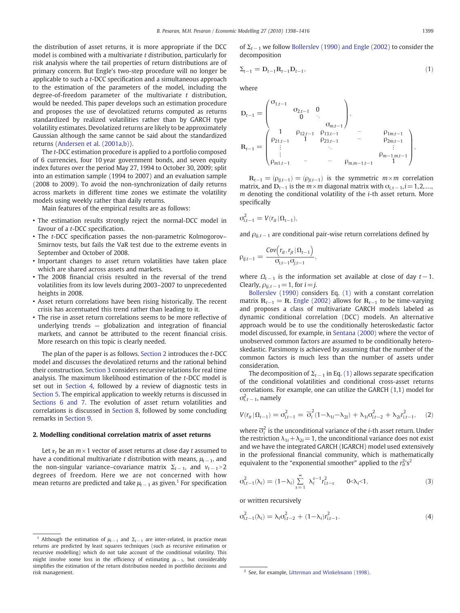the distribution of asset returns, it is more appropriate if the DCC model is combined with a multivariate t distribution, particularly for risk analysis where the tail properties of return distributions are of primary concern. But Engle's two-step procedure will no longer be applicable to such a t-DCC specification and a simultaneous approach to the estimation of the parameters of the model, including the degree-of-freedom parameter of the multivariate  $t$  distribution, would be needed. This paper develops such an estimation procedure and proposes the use of devolatized returns computed as returns standardized by realized volatilities rather than by GARCH type volatility estimates. Devolatized returns are likely to be approximately Gaussian although the same cannot be said about the standardized returns ([Andersen et al. \(2001a,b\)\)](#page--1-0).

The t-DCC estimation procedure is applied to a portfolio composed of 6 currencies, four 10 year government bonds, and seven equity index futures over the period May 27, 1994 to October 30, 2009; split into an estimation sample (1994 to 2007) and an evaluation sample (2008 to 2009). To avoid the non-synchronization of daily returns across markets in different time zones we estimate the volatility models using weekly rather than daily returns.

Main features of the empirical results are as follows:

- The estimation results strongly reject the normal-DCC model in favour of a t-DCC specification.
- The t-DCC specification passes the non-parametric Kolmogorov– Smirnov tests, but fails the VaR test due to the extreme events in September and October of 2008.
- Important changes to asset return volatilities have taken place which are shared across assets and markets.
- The 2008 financial crisis resulted in the reversal of the trend volatilities from its low levels during 2003–2007 to unprecedented heights in 2008.
- Asset return correlations have been rising historically. The recent crisis has accentuated this trend rather than leading to it.
- The rise in asset return correlations seems to be more reflective of underlying trends — globalization and integration of financial markets, and cannot be attributed to the recent financial crisis. More research on this topic is clearly needed.

The plan of the paper is as follows. Section 2 introduces the t-DCC model and discusses the devolatized returns and the rational behind their construction. [Section 3](#page--1-0) considers recursive relations for real time analysis. The maximum likelihood estimation of the t-DCC model is set out in [Section 4](#page--1-0), followed by a review of diagnostic tests in [Section 5.](#page--1-0) The empirical application to weekly returns is discussed in [Sections 6 and 7.](#page--1-0) The evolution of asset return volatilities and correlations is discussed in [Section 8,](#page--1-0) followed by some concluding remarks in [Section 9.](#page--1-0)

### 2. Modelling conditional correlation matrix of asset returns

Let  $r_t$  be an  $m \times 1$  vector of asset returns at close day t assumed to have a conditional multivariate t distribution with means,  $\mu_{t-1}$ , and the non-singular variance–covariance matrix  $\Sigma_{t-1}$ , and  $v_{t-1} > 2$ degrees of freedom. Here we are not concerned with how mean returns are predicted and take  $\mu_{t-1}$  as given.<sup>1</sup> For specification

$$
\Sigma_{t-1} = \mathbf{D}_{t-1} \mathbf{R}_{t-1} \mathbf{D}_{t-1},\tag{1}
$$

where

$$
\mathbf{D}_{t-1} = \begin{pmatrix} \sigma_{1,t-1} & & & & \\ & \sigma_{2,t-1} & 0 & & \\ & & \ddots & & \\ & & & \sigma_{m,t-1} \\ & & & & \sigma_{m,t-1} \\ & & & & \ddots & \\ \mathbf{R}_{t-1} = \begin{pmatrix} 1 & \rho_{12,t-1} & \rho_{13,t-1} & & & \rho_{1m,t-1} \\ \rho_{21,t-1} & 1 & \rho_{23,t-1} & & & \rho_{2m,t-1} \\ \vdots & & & & \ddots & \vdots \\ \rho_{m1,t-1} & \cdots & & & \rho_{m,m-1,t-1} & 1 \end{pmatrix},
$$

 $\mathbf{R}_{t-1} = (\rho_{ij,t-1}) = (\rho_{ji,t-1})$  is the symmetric  $m \times m$  correlation matrix, and  $D_{t-1}$  is the  $m \times m$  diagonal matrix with  $\sigma_{i,t-1}$ ,  $i= 1, 2, \ldots$ ,  $m$  denoting the conditional volatility of the  $i$ -th asset return. More specifically

$$
\sigma_{i,t-1}^2 = V(r_{it} | \Omega_{t-1}),
$$

and  $\rho_{ij,t-1}$  are conditional pair-wise return correlations defined by

$$
\rho_{ij,t-1} = \frac{\text{Cov}\left(r_{it}, r_{jt} | \Omega_{t-1}\right)}{\sigma_{i,t-1} \sigma_{j,t-1}},
$$

where  $\Omega_{t-1}$  is the information set available at close of day  $t-1$ . Clearly,  $\rho_{ij,t-1}=1$ , for  $i=j$ .

[Bollerslev \(1990\)](#page--1-0) considers Eq. (1) with a constant correlation matrix  $R_{t-1} = R$ . [Engle \(2002\)](#page--1-0) allows for  $R_{t-1}$  to be time-varying and proposes a class of multivariate GARCH models labeled as dynamic conditional correlation (DCC) models. An alternative approach would be to use the conditionally heteroskedastic factor model discussed, for example, in [Sentana \(2000\)](#page--1-0) where the vector of unobserved common factors are assumed to be conditionally heteroskedastic. Parsimony is achieved by assuming that the number of the common factors is much less than the number of assets under consideration.

The decomposition of  $\Sigma_{t-1}$  in Eq. (1) allows separate specification of the conditional volatilities and conditional cross-asset returns correlations. For example, one can utilize the GARCH (1,1) model for  $\sigma_{i,t-1}^2$ , namely

$$
V(r_{it}|\Omega_{t-1}) = \sigma_{i,t-1}^2 = \overline{\sigma}_i^2 (1 - \lambda_{1i} - \lambda_{2i}) + \lambda_{1i}\sigma_{i,t-2}^2 + \lambda_{2i}r_{i,t-1}^2, \quad (2)
$$

where  $\overline{\sigma}_i^2$  is the unconditional variance of the *i*-th asset return. Under the restriction  $\lambda_{1i} + \lambda_{2i} = 1$ , the unconditional variance does not exist and we have the integrated GARCH (IGARCH) model used extensively in the professional financial community, which is mathematically equivalent to the "exponential smoother" applied to the  $r_{it}^2$ 's<sup>2</sup>

$$
\sigma_{i,t-1}^2(\lambda_i) = (1 - \lambda_i) \sum_{s=1}^{\infty} \lambda_i^{s-1} r_{i,t-s}^2 \qquad 0 < \lambda_i < 1,
$$
 (3)

or written recursively

$$
\sigma_{i,t-1}^2(\lambda_i) = \lambda_i \sigma_{i,t-2}^2 + (1-\lambda_i) r_{i,t-1}^2.
$$
\n(4)

of  $\Sigma_{t-1}$  we follow [Bollerslev \(1990\) and Engle \(2002\)](#page--1-0) to consider the decomposition

Although the estimation of  $\mu_{t-1}$  and  $\Sigma_{t-1}$  are inter-related, in practice mean returns are predicted by least squares techniques (such as recursive estimation or recursive modelling) which do not take account of the conditional volatility. This might involve some loss in the efficiency of estimating  $\mu_{t-1}$ , but considerably simplifies the estimation of the return distribution needed in portfolio decisions and risk management. 2 See, for example, [Litterman and Winkelmann \(1998\)](#page--1-0).